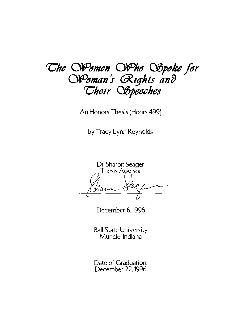# The O<sup>W</sup>omen O<sup>W</sup>ho Ospoke for O<sup>p</sup>oman's Rights and *Their Speeches*

An Honors Thesis (Honrs 499)

by Tracy Lynn Reynolds

Dr. Sharon Seager Thesis Advisor  $_{\text{turn}}$  Stage

December 6, 1996

Ball State University Muncie, Indiana

Date of Graduation: December 22, 1996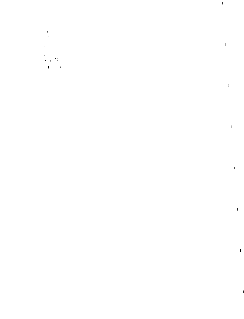$\label{eq:1} \frac{1}{\sqrt{2}}\int_0^1\frac{1}{\sqrt{2}}\,d\mu$  $\frac{1}{2} \frac{1}{2} \frac{1}{2} \frac{1}{2} \frac{1}{2} \frac{1}{2} \frac{1}{2} \frac{1}{2} \frac{1}{2} \frac{1}{2} \frac{1}{2} \frac{1}{2} \frac{1}{2} \frac{1}{2} \frac{1}{2} \frac{1}{2} \frac{1}{2} \frac{1}{2} \frac{1}{2} \frac{1}{2} \frac{1}{2} \frac{1}{2} \frac{1}{2} \frac{1}{2} \frac{1}{2} \frac{1}{2} \frac{1}{2} \frac{1}{2} \frac{1}{2} \frac{1}{2} \frac{1}{2} \frac{$ 

,I *r* F

 $\ddot{\phantom{a}}$ 

 $\mathcal{L}_{\mathrm{max}}$ 

 $\bar{\Gamma}$ 

 $\bar{\rm I}$ 

 $\bar{\Gamma}$ 

 $\bar{1}$ 

 $\bar{\bar{1}}$ 

 $\bar{\bar{1}}$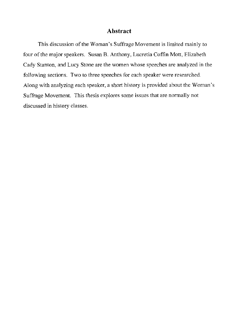### **Abstract**

This discussion of the Woman's Suffrage Movement is limited mainly to four of the major speakers. Susan B. Anthony, Lucretia Coffin Mott, Elizabeth Cady Stanton, and Lucy Stone are the women whose speeches are analyzed in the following sections. Two to three speeches for each speaker were researched. Along with analyzing each speaker, a short history is provided about the Woman's Suffrage Movement. This thesis explores some issues that are normally not discussed in history classes.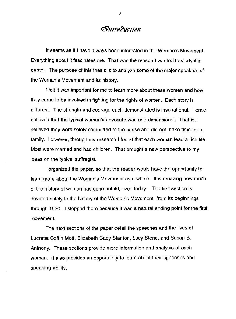### *<u>@ntroduction</u>*

**It seems as if I have always been interested in the Woman's Movement.**  Everything about it fascinates me. That was the reason I wanted to study it in depth. The purpose of this thesis is to analyze some of the major speakers of the Woman's Movement and its history.

**I felt it was important for me to learn more about these women and how**  they came to be involved in fighting for the rights of women. Each story is different. The strength and courage each demonstrated is inspirational. I once believed that the typical woman's advocate was one-dimensional. That is, I believed they were solely committed to the cause and did not make time for a family. However, through my research I found that each woman lead a rich life. Most were married and had children. That brought a new perspective to my ideas on the typical suffragist.

I organized the paper, so that the reader would have the opportunity to **learn more about the Woman's Movement as a whole. It is amazing how much**  of the history of woman has gone untold, even today. The first section is devoted solely to the history of the Woman's Movement from its beginnings through 1920. I stopped there because it was a natural ending point for the first **movement.** 

The next sections of the paper detail the speeches and the lives of Lucretia Coffin Mott, Elizabeth Cady Stanton, Lucy Stone, and Susan B. **Anthony. These sections provide more information and analysis of each**  woman. It also provides an opportunity to learn about their speeches and speaking ability.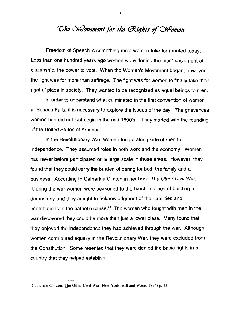# The Selovement for the Rights of Women

Freedom of Speech is something most women take for granted today. Less than one hundred years ago women were denied the most basic right of citizenship, the power to vote. When the Women's Movement began, however, the fight was for more than suffrage. The fight was for women to finally take their rightful place in society. They wanted to be recognized as equal beings to men.

**In order to understand what culminated in the first convention of women at Seneca Falls, it is necessary to explore the issues of the day. The grievances**  women had did not just begin in the mid 1800's. They started with the founding of the United States of America.

In the Revolutionary War, women fought along side of men for **independence. They assumed roles in both work and the economy. Women had never before participated on a large scale in those areas. However, they**  found that they could carry the burden of caring for both the family and a business. According to Catherine Clinton in her book The Other Civil War, **"During the war women were seasoned to the harsh realities of building a**  democracy and they sought to acknowledgment of their abilities and contributions to the patriotic cause.<sup>"</sup> The women who fought with men in the war discovered they could be more than just a lower class. Many found that they enjoyed the independence they had achieved through the war. Although women contributed equally in the Revolutionary War, they were excluded from the Constitution. Some resented that they were denied the basic rights in a country that they helped establish.

<sup>&</sup>lt;sup>1</sup>Catherine Clinton, The Other Civil War (New York: Hill and Wang, 1984) p. 13.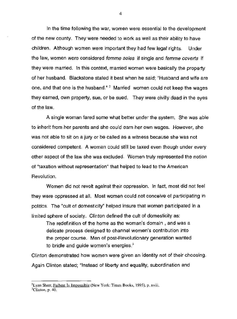**In the time following the war, women were essential to the development**  of the new county. They were needed to work as well as their ability to have children. Although women were important they had few legal rights. Under **the law, women were considered femme soles if single and femme coverts if**  they were married. In this context, married women were basically the property of her husband. Blackstone stated it best when he said; "Husband and wife are **one, and that one is the husband." 2 Married women could not keep the wages**  they earned, own property, sue, or be sued. They were civilly dead in the eyes of the law.

A single woman fared some what better under the system. She was able **to inherit from her parents and she could earn her own wages. However, she was not able to sit on a jury or be called as a witness because she was not**  considered competent. A woman could still be taxed even though under every other aspect of the law she was excluded. Women truly represented the notion of "taxation without representation" that helped to lead to the American **Revolution.** 

Women did not revolt against their oppression. In fact, most did not feel they were oppressed at all. Most women could not conceive of participating in politics. The "cult of domesticity" helped insure that women participated in a limited sphere of society. Clinton defined the cult of domesticity as:

**The redefinition of the home as the woman's domain, and was a delicate process designed to channel women's contribution into the proper course. Men of post-Revolutionary generation wanted to bridle and guide women's energies. <sup>3</sup>**

**Clinton demonstrated how women were given an identity not of their choosing.**  Again Clinton stated; "Instead of liberty and equality, subordination and

**<sup>2</sup>Lynn Sherr. Failure Is Impossible (New York: Times Books, 1995), p. xviii. 'Clinton, p. 40.**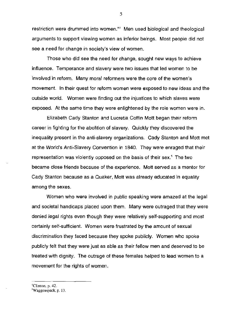restriction were drummed into women.<sup>"+</sup> Men used biological and theological **arguments to support viewing women as inferior beings. Most people did not see a need for change in society's view of women.** 

Those who did see the need for change, sought new ways to achieve **influence. Temperance and slavery were two issues that led women to be involved in reform. Many moral reformers were the core of the women's movement. In their quest for reform women were exposed to new ideas and the outside world. Women were finding out the injustices to which slaves were**  exposed. At the same time they were enlightened by the role women were in.

Elizabeth Cady Stanton and Lucretia Coffin Mott began their reform career in fighting for the abolition of slavery. Quickly they discovered the inequality present in the anti-slavery organizations. Cady Stanton and Mott met at the World's Anti-Slavery Convention in 1840. They were enraged that their **representation was violently opposed on the basis of their sex. <sup>5</sup>The two became close friends because of the experience. Mott served as a mentor for**  Cady Stanton because as a Quaker, Mott was already educated in equality **among the sexes.** 

Women who were involved in public speaking were amazed at the legal and societal handicaps placed upon them. Many were outraged that they were denied legal rights even though they were relatively self-supporting and most certainly self-sufficient. Women were frustrated by the amount of sexual discrimination they faced because they spoke publicly. Women who spoke publicly felt that they were just as able as their fellow men and deserved to be treated with dignity. The outrage of these females helped to lead women to a **movement for the rights of women.** 

 $^{4}$ Clinton, p. 42.

<sup>&</sup>lt;sup>5</sup>Waggenspack, p. 13.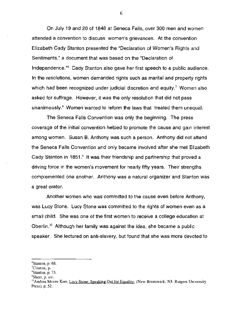On July 19 and 20 of 1848 at Seneca Falls, over 300 men and women **attended a convention to discuss women's grievances. At the convention**  Elizabeth Cady Stanton presented the "Declaration of Women's Rights and Sentiments," a document that was based on the "Declaration of Independence."<sup>6</sup> Cady Stanton also gave her first speech to a public audience. In the resolutions, women demanded rights such as marital and property rights which had been recognized under judicial discretion and equity.<sup>7</sup> Women also asked for suffrage. However, it was the only resolution that did not pass unanimously.<sup>8</sup> Women wanted to reform the laws that treated them unequal.

The Seneca Falls Convention was only the beginning. The press **coverage of the initial convention helped to promote the cause and gain interest**  among women. Susan B. Anthony was such a person. Anthony did not attend the Seneca Falls Convention and only became involved after she met Elizabeth Cady Stanton in 1851.<sup>9</sup> It was their friendship and partnership that proved a **driving force in the women's movement for nearly fifty years. Their strengths complemented one another. Anthony was a natural organizer and Stanton was**  a **great orator.** 

**Another women who was committed to the cause even before Anthony, was Lucy Stone. Lucy Stone was committed to the rights of women even as a**  small child. She was one of the first women to receive a college education at Oberlin." Although her family was against the idea, she became a public speaker. She lectured on anti-slavery, but found that she was more devoted to

<sup>~</sup>Stanton, p. 68.

<sup>&</sup>lt;sup>7</sup>Clinton, p.

<sup>~</sup>Stanton, p. 73.

<sup>~</sup>Sherr, p. xxi.

<sup>&</sup>lt;sup>10</sup>Andrea Moore Kerr, Lucy Stone: Speaking Out for Equality, (New Brunswick, NJ: Rutgers University Press), p. 52.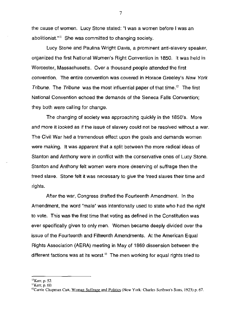**the cause of women. Lucy Stone stated: "I was a women before I was an abolitionist."i! She was committed to changing society.** 

Lucy Stone and Paulina Wright Davis, a prominent anti-slavery speaker, organized the first National Women's Right Convention in 1850. It was held in Worcester, Massachusetts. Over a thousand people attended the first **convention. The entire convention was covered in Horace Greeley's New York**  Tribune. The Tribune was the most influential paper of that time.<sup>12</sup> The first National Convention echoed the demands of the Seneca Falls Convention; they both were calling for change.

The changing of society was approaching quickly in the 1850's. More **and more it looked as if the issue of slavery could not be resolved without a war.**  The Civil War had a tremendous effect upon the goals and demands women **were making. It was apparent that a split between the more radical ideas of**  Stanton and Anthony were in conflict with the conservative ones of Lucy Stone. Stanton and Anthony felt women were more deserving of suffrage then the **freed slave. Stone felt it was necessary to give the freed** *slaves* **their time and**  rights.

After the war, Congress drafted the Fourteenth Amendment. In the Amendment, the word "male" was intentionally used to state who had the right to vote. This was the first time that voting as defined in the Constitution was ever specifically given to only men. Women became deeply divided over the issue of the Fourteenth and Fifteenth Amendments. At the American Equal Rights Association (AERA) meeting in May of 1869 dissension between the **different factions was at its** worst. 13 **The men working for equal rights tried to** 

**IIKerr, p. 52.** 

<sup>12</sup>Kerr, p. **60.** 

<sup>&</sup>lt;sup>13</sup> Carrie Chapman Catt, Woman Suffrage and Politics (New York: Charles Scribner's Sons, 1923) p. 67.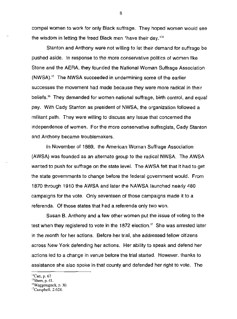compel women to work for only Black suffrage. They hoped women would see the wisdom in letting the freed Black men "have their day.""

Stanton and Anthony were not willing to let their demand for suffrage be pushed aside. In response to the more conservative politics of women like Stone and the AERA, they founded the National Woman Suffrage Association (NWSA)." The NWSA succeeded in undermining some of the earlier **successes the movement had made because they were more radical in their**  beliefs." They demanded for women national suffrage, birth control, and equal pay. With Cady Stanton as president of NWSA, the organization followed a **militant path. They were willing to discuss any issue that concerned the independence of women. For the more conservative suffragists, Cady Stanton**  and Anthony became troublemakers.

In November of 1869, the American Woman Suffrage Association (AWSA) was founded as an alternate group to the radical NWSA. The AWSA wanted to push for suffrage on the state level. The AWSA felt that it had to get the state governments to change before the federal government would. From 1870 through 1910 the AWSA and later the NAWSA launched nearly 480 campaigns for the vote. Only seventeen of those campaigns made it to a referenda. Of those states that had a referenda only two won.

Susan B. Anthony and a few other women put the issue of voting to the test when they registered to vote in the 1872 election." She was arrested later in the month for her actions. Before her trial, she addressed fellow citizens across New York defending her actions. Her ability to speak and defend her **actions led to a change in venue before the trial started. However, thanks to**  assistance she also spoke in that county and defended her right to vote. The

<sup>14</sup>Catt, p. **67** 

ISSherr, p. **41.** 

<sup>&</sup>lt;sup>16</sup>Waggenspack, p. 30.

 $\mathrm{^{17}Camphell}, 2:628.$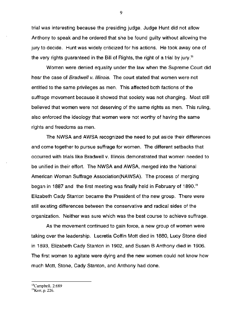trial was interesting because the presiding judge, Judge Hunt did not allow Anthony to speak and he ordered that she be found guilty without allowing the jury to decide. Hunt was widely criticized for his actions. He took away one of the very rights guaranteed in the Bill of Rights, the right of a trial by jury.<sup>18</sup>

Women were denied equality under the law when the Supreme Court did **hear the case of Bradwell v. Illinois. The court stated that women were not**  entitled to the same privileges as men. This affected both factions of the suffrage movement because it showed that society was not changing. Most still believed that women were not deserving of the same rights as men. This ruling, also enforced the ideology that women were not worthy of having the same rights and freedoms as men.

The NWSA and AWSA recognized the need to put aside their differences **and come together to pursue suffrage for women. The different setbacks that occurred with trials like Bradwell v. Illinois demonstrated that women needed to**  be unified in their effort. The NWSA and AWSA, merged into the National American Woman Suffrage Association(NAWSA). The process of merging began in 1887 and the first meeting was finally held in February of 1890." Elizabeth Cady Stanton became the President of the new group. There were still existing differences between the conservative and radical sides of the organization. Neither was sure which was the best course to achieve suffrage.

**As the movement continued to gain force, a new group of women were**  taking over the leadership. Lucretia Coffin Mott died in 1880, Lucy Stone died in 1893, Elizabeth Cady Stanton in 1902, and Susan B Anthony died in 1906. **The first women to agitate were dying and the new women could not know how**  much Mott, Stone, Cady Stanton, and Anthony had done.

**ISCampbell, 2:689** 

**<sup>19</sup>Kerr, p. 226.**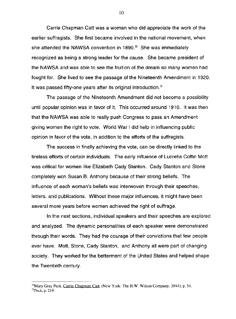Carrie Chapman Catt was a woman who did appreciate the work of the earlier suffragists. She first became involved in the national movement, when she attended the NAWSA convention in 1890. $^{\circ}$  She was immediately recognized as being a strong leader for the cause. She became president of the NAWSA and was able to see the fruition of the dream so many women had fought for. She lived to see the passage of the Nineteenth Amendment in 1920. It was passed fifty-one years after its original introduction."

The passage of the Nineteenth Amendment did not become a possibility until popular opinion was in favor of it. This occurred around 1910. It was then that the NAWSA was able to really push Congress to pass an Amendment giving women the right to vote. World War I did help in influencing public opinion in favor of the vote, in addition to the efforts of the suffragists.

The success in finally achieving the vote, can be directly linked to the tireless efforts of certain individuals. The early influence of Lucretia Coffin Mott was critical for women like Elizabeth Cady Stanton. Cady Stanton and Stone completely won Susan B. Anthony because of their strong beliefs. The **influence of each woman's beliefs was interwoven through their speeches, letters, and publications. Without these major influences, it might have been several more years before women achieved the right of suffrage.** 

**In the next sections, individual speakers and their speeches are explored**  and analyzed. The dynamic personalities of each speaker were demonstrated through their words. They had the courage of their convictions that few people ever have. Mott, Stone, Cady Stanton, and Anthony all were part of changing society. They worked for the betterment of the United States and helped shape the Twentieth century.

<sup>&</sup>lt;sup>20</sup>Mary Gray Peck, Carrie Chapman Catt, (New York: The H.W. Wilson Company, 1944), p. 54. **2lpeck, p. 219.** 

<sup>10</sup>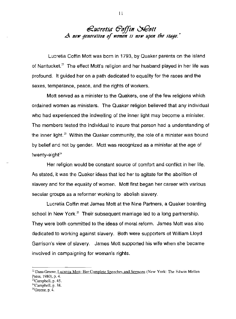# *\$2uIJTe/it£ 6''':/ftn* ,y,fJ"" *.6. Ite", geltor"tidlt* 0/ *"'dmOIt is ltd'" upelt tke s"'go .•*

Lucretia Coffin Matt was born in 1793, by Quaker parents on the island of Nantucket.<sup>2</sup> The effect Mott's religion and her husband played in her life was profound. It guided her on a path dedicated to equality for the races and the **sexes, temperance, peace, and the rights of workers.** 

**Mott served as a minister to the Quakers, one of the few religions which ordained women as ministers. The Quaker religion believed that any individual who had experienced the indwelling of the inner light may become a minister.**  The members tested the individual to insure that person had a understanding of the inner light.<sup>23</sup> Within the Quaker community, the role of a minister was bound by belief and not by gender. Mott was recognized as a minister at the age of twenty-eight $^{24}$ 

**Her religion would be constant source of comfort and conflict in her life.**  As stated, it was the Quaker ideas that led her to agitate for the abolition of **slavery and for the equality of women. Matt first began her career with various secular groups as a reformer working to abolish slavery.** 

Lucretia Coffin met James Matt at the Nine Partners, a Quaker boarding school in New York. $^{25}$  Their subsequent marriage led to a long partnership. They were both committed to the ideas of moral reform. James Matt was also dedicated to working against slavery. Both were supporters of William Lloyd Garrison's view of slavery. James Matt supported his wife when she became **involved in campaigning for woman's rights.** 

<sup>&</sup>lt;sup>22</sup> Dana Greene, Lucretia Mott: Her Complete Speeches and Sermons (New York: The Edwin Mellen Press, 1980), p. 4.

 $^{23}$ Campbell, p. 45.

 $^{24}$ Campbell, p. 38.

 $25$ Greene, p. 4.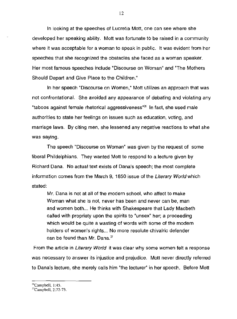**In looking at the speeches of Lucretia Mott, one can see where she**  developed her speaking ability. Matt was fortunate to be raised in a community **where it was acceptable for a woman to speak in public. It was evident from her**  speeches that she recognized the obstacles she faced as a woman speaker. **Her most famous speeches include "Discourse on Woman" and "The Mothers**  Should Depart and Give Place to the Children."

**In her speech "Discourse on Women," Mott utilizes an approach that was**  not confrontational. She avoided any appearance of debating and violating any "taboos against female rhetorical aggressiveness"<sup>26</sup> In fact, she used male **authorities to state her feelings on issues such as education, voting, and marriage laws. By citing men, she lessened any negative reactions to what she was saying.** 

**The speech "Discourse on Woman" was given by the request of some**  liberal Phildelphians. They wanted Mott to respond to a lecture given by Richard Dana. No actual text exists of Dana's speech; the most complete information comes from the March 9, 1850 issue of the Literary World which stated:

Mr. Dana is not at all of the modern school, who affect to make **Woman what she is not, never has been and never can be, man**  and women both... He thinks with Shakespeare that Lady Macbeth called with propriety upon the spirits to "unsex" her; a proceeding which would be quite a wasting of words with some of the modern **holders of women's rights ... No more resolute chivalric defender**  can be found than Mr. Dana.<sup>27</sup>

**From the article in Literary World it was clear why some women felt a response was necessary to answer its injustice and prejudice. Mott never directly referred**  to Dana's lecture, she merely calls him "the lecturer" in her speech. Before Matt

 $26$ Campbell, 1:45.

<sup>&</sup>lt;sup>27</sup>Campbell, 2:72-73.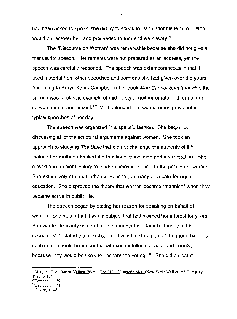had been asked to speak, she did try to speak to Dana after his lecture. Dana would not answer her, and proceeded to turn and walk away.<sup>28</sup>

**The "Discourse on Woman" was remarkable because she did not give a manuscript speech. Her remarks were not prepared as an address, yet the speech was carefully reasoned. The speech was extemporaneous in that it used material from other speeches and sermons she had given over the years.**  According to Karyn Kohrs Campbell in her book Man Cannot Speak for Her, the speech was "a classic example of middle style, neither omate and formal nor conversational and casual.<sup>429</sup> Mott balanced the two extremes prevalent in typical speeches of her day.

The speech was organized in a specific fashion. She began by **discussing all of the scriptural arguments against women. She took an**  approach to studying The Bible that did not challenge the authority of it.<sup>30</sup> Instead her method attacked the traditional translation and interpretation. She **moved from ancient history to modern times in respect to the position of women.**  She extensively quoted Catherine Beecher, an early advocate for equal education. She disproved the theory that women became "mannish" when they became active in public life.

The speech began by stating her reason for speaking on behalf of women. She stated that it was a subject that had claimed her interest for years. She wanted to clarify some of the statements that Dana had made in his speech. Mott stated that she disagreed with his statements " the more that these sentiments should be presented with such intellectual vigor and beauty, because they would be likely to ensnare the young."" She did not want

<sup>&</sup>lt;sup>28</sup>Margaret Hope Bacon, Valiant Friend: The Life of Lucretia Mott (New York: Walker and Company, 1980) p. 134.

 $29$ Campbell, 1:39.

 $^{30}$ Campbell, 1:41

 $31$ Greene, p. 143.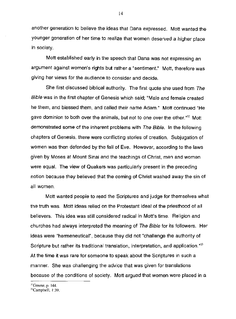**another generation to believe the ideas that Dana expressed. Mott wanted the younger generation of her time to realize that women deserved a higher place in society.** 

Mott established early in the speech that Dana was not expressing an **argument against women's rights but rather a "sentiment." Mott, therefore was giving her views for the audience to consider and decide.** 

She first discussed biblical authority. The first quote she used from The Bible was in the first chapter of Genesis which said; "Male and female created he them, and blessed them, and called their name Adam." Matt continued "He **gave dominion to both over the animals, but not to one over the other,"32 Mott**  demonstrated some of the inherent problems with The Bible. In the following chapters of Genesis, there were conflicting stories of creation. Subjugation of women was then defended by the fall of Eve. However, according to the laws given by Moses at Mount Sinai and the teachings of Christ, men and women **were equal. The view of Quakers was particularly present in the preceding**  notion because they believed that the coming of Christ washed away the sin of **all women.** 

Matt wanted people to read the Scriptures and judge for themselves what the truth was. Matt ideas relied on the Protestant ideal of the priesthood of all **believers. This idea was still considered radical in Mott's time. Religion and**  churches had always interpreted the meaning of The Bible for its followers. Her ideas were "hermeneutical", because they did not "challenge the authority of Scripture but rather its traditional translation, interpretation, and application.<sup>"33</sup> **At the time it was rare for someone to speak about the Scriptures in such a manner. She was challenging the advice that was given for translations**  because of the conditions of society. Mott argued that women were placed in a

J'Greene. **p. 144.** 

<sup>&</sup>lt;sup>33</sup>Campbell, 1:39.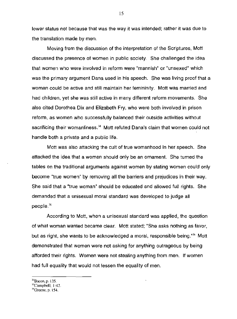**lower status not because that was the way it was intended; rather it was due to**  the translation made by men.

Moving from the discussion of the interpretation of the Scriptures, Mott discussed the presence of women in public society. She challenged the idea **that women who were involved in reform were "mannish" or "unsexed" which**  was the primary argument Dana used in his speech. She was living proof that a **woman could be active and still maintain her femininity. Matt was married and had children, yet she was still active in many different reform movements. She**  also cited Dorothea Dix and Elizabeth Fry, who were both involved in prison **reform, as women who successfully balanced their outside activities without sacrificing their womanliness. 34 Mott refuted Dana's claim that women could not**  handle both a private and a public life.

Mott was also attacking the cult of true womanhood in her speech. She attacked the idea that a woman should only be an ornament. She turned the tables on the traditional arguments against women by stating women could only become "true women" by removing all the barriers and prejudices in their way. She said that a "true woman" should be educated and allowed full rights. She demanded that a unisexual moral standard was developed to judge all  $people.<sup>35</sup>$ 

According to Mott, when a unisexual standard was applied, the question of what woman wanted became clear. Mott stated; "She asks nothing as favor, but as right, she wants to be acknowledged a moral, responsible being."<sup>36</sup> Mott demonstrated that women were not asking for anything outrageous by being afforded their rights. Women were not stealing anything from men. If women had full equality that would not lessen the equality of men.

**<sup>3-</sup>IBacon, p. 135.** 

**J'Campbell, 1** :42.

 $^{36}$ Greene, p. 154.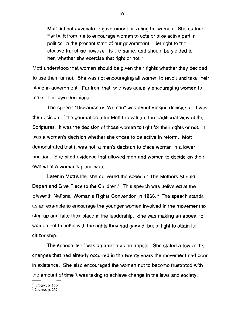**Mott did not advocate in government or voting for women. She stated: Far be it from me to encourage women to vote or take active part in**  politics, in the present state of our government. Her right to the elective franchise however, is the same, and should be yielded to her, whether she exercise that right or not. $37$ 

Mott understood that women should be given their rights whether they decided **to use them or not. She was not encouraging all women to revolt and take their place in government. Far from that, she was actually encouraging women to make their own decisions.** 

**The speech "Discourse on Woman" was about making decisions. It was**  the decision of the generation after Mott to evaluate the traditional view of the Scriptures. It was the decision of those women to fight for their rights or not. It **was a woman's decision whether she chose to be active in reform. Mott demonstrated that it was not, a man's decision to place woman in a lower position. She cited evidence that allowed men and women to decide on their own what a woman's place was.** 

Later in Mott's life, she delivered the speech" The Mothers Should Depart and Give Place to the Children." This speech was delivered at the Eleventh National Woman's Rights Convention in 1866.<sup>38</sup> The speech stands **as an example to encourage the younger women involved in the movement to**  step up and take their place in the leadership. She was making an appeal to women not to settle with the rights they had gained, but to fight to attain full **citizenship.** 

The speech itself was organized as an appeal. She stated a few of the changes that had already occurred in the twenty years the movement had been **in existence. She also encouraged the women not to become frustrated with the amount of time it was taking to achieve change in the laws and society.** 

 $<sup>37</sup>$ Greene, p. 156.</sup>

 $^{38}$ Greenc, p. 267.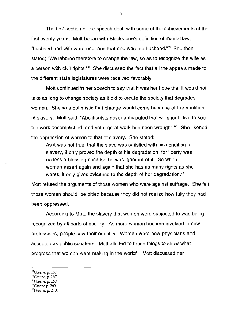The first section of the speech dealt with some of the achievements of the first twenty years. Mott began with Blackstone's definition of marital law; "husband and wife were one, and that one was the husband."<sup>39</sup> She then stated; "We labored therefore to change the law, so as to recognize the wife as a person with civil rights. $40$  She discussed the fact that all the appeals made to the different state legislatures were received favorably.

Matt continued in her speech to say that it was her hope that it would not take as long to change society as it did to create the society that degrades **women. She was optimistic that change would come because of the abolition**  of slavery. Matt said; "Abolitionists never anticipated that we should live to see the work accomplished, and yet a great work has been wrought."" She likened the oppression of women to that of slavery. She stated:

**As it was not true, that the slave was satisfied with his condition of**  slavery, it only proved the depth of his degradation, for liberty was **no less a blessing because he was ignorant of it. So when woman assert again and again that she has as many rights as she wants, it only gives evidence to the depth of her degradation.<sup>42</sup>**

Mott refuted the arguments of those women who were against suffrage. She felt those women should be pitied because they did not realize how fully they had been oppressed.

According to Matt, the slavery that women were subjected to was being **recognized by all parts of society. As more women became involved in new professions, people saw their equality. Women were now physicians and**  accepted as public speakers. Matt alluded to these things to show what **progress that women were making in the world-l<sup>3</sup>Matt discussed her** 

- ~IGreene. **p. 268.**
- **-l"Grecne p. 269.**

**JYOreene, p. 267 .** 

**<sup>.\(</sup>IOreene. p. 267.** 

**<sup>-</sup>I'Grecnc, p.** 270.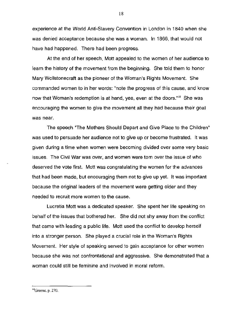experience at the World Anti-Slavery Convention in London in 1840 when she **was denied acceptance because she was a woman. In 1866, that would not**  have had happened. There had been progress.

At the end of her speech, Mott appealed to the women of her audience to learn the history of the movement from the beginning. She told them to honor Mary Wollstonecraft as the pioneer of the Woman's Rights Movement. She **commanded women to in her words: "note the progress of this cause, and know now that Woman's redemption is at hand, yea, even at the doors."44 She was encouraging the women to give the movement all they had because their goal was near.** 

The speech "The Mothers Should Depart and Give Place to the Children" **was used to persuade her audience not to give up or become frustrated. It was given during a time when women were becoming divided over some very basic issues. The Civil War was over, and women were tom over the issue of who deserved the vote first. Mott was congratulating the women for the advances**  that had been made, but encouraging them not to give up yet. It was important because the original leaders of the movement were getting older and they **needed to recruit more women to the cause.** 

Lucretia Mott was a dedicated speaker. She spent her life speaking on behalf of the issues that bothered her. She did not shy away from the conflict that came with leading a public life. Mott used the conflict to develop herself into a stronger person. She played a crucial role in the Woman's Rights **Movement. Her style of speaking served to gain acceptance for other women because she was not confrontational and aggressive. She demonstrated that a woman could still be feminine and involved in moral reform.** 

18

 $H$ Greenc, p. 270.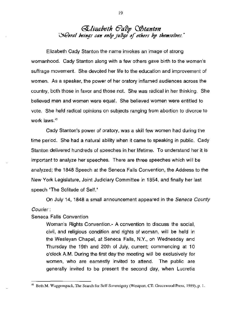### *(:§.iiMbcth 6'a-81' Cfita-nttln Cl.(?dr,xl bein§s CdR dlt/P Ju8§e* 0/ *dtlters bp tltemsell'es .•*

Elizabeth Cady Stanton the name invokes an image of strong womanhood. Cady Stanton along with a few others gave birth to the women's **suffrage movement. She devoted her life to the education and improvement of women. As a speaker, the power of her oratory inflamed audiences across the**  country, both those in favor and those not. She was radical in her thinking. She **believed men and women were equal. She believed women were entitled to vote. She held radical opinions on subjects ranging from abortion to divorce to**  work laws.<sup>45</sup>

Cady Stanton's power of oratory, was a skill few women had during the time period. She had a natural ability when it came to speaking in public. Cady **Stanton delivered hundreds of speeches in her lifetime. To understand her it is**  important to analyze her speeches. There are three speeches which will be analyzed; the 1848 Speech at the Seneca Falls Convention, the Address to the New York Legislature, Joint Judiciary Committee in 1854, and finally her last speech "The Solitude of Self."

On July 14, 1848 a small announcement appeared in the Seneca County *Courier:* 

**Seneca Falls Convention** 

**Woman's Rights Convention.- A convention to discuss the social,**  civil, and religious condition and rights of woman, will be held in the Wesleyan Chapel, at Seneca Falls, N.Y., on Wednesday and Thursday the 19th and 20th of July, current; commencing at 10 o'clock AM. During the first day the meeting will be exclusively for **women, who are earnestly invited to attend. The public are**  generally invited to be present the second day, when Lucretia

<sup>&</sup>lt;sup>45</sup> Beth M. Waggenspack, The Search for Self-Sovereignty (Westport, CT: Greenwood Press, 1989), p. 1.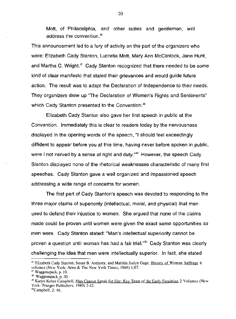Mott, of Philadelphia, and other ladies and gentlemen, will **address the convention.<sup>46</sup>**

This announcement led to a fury of activity on the part of the organizers who were: Elizabeth Cady Stanton, Lucretia Mott, Mary Ann McClintock, Jane Hunt, and Martha C. Wright.<sup>47</sup> Cady Stanton recognized that there needed to be some kind of clear manifesto that stated their grievances and would guide future action. The result was to adapt the Declaration of Independence to their needs. They organizers drew up "The Declaration of Women's Rights and Sentiments" which Cady Stanton presented to the Convention.<sup>48</sup>

Elizabeth Cady Stanton also gave her first speech in public at the **Convention. Immediately this is clear to readers today by the nervousness**  displayed in the opening words of the speech, "1 should feel exceedingly diffident to appear before you at this time, having never before spoken in public, **were I not nerved** by a **sense of right and duty,"49 However, the speech Cady Stanton displayed none of the rhetorical weaknesses characteristic of many first**  speeches. Cady Stanton gave a well organized and impassioned speech **addressing a wide range of concerns for women.** 

The first part of Cady Stanton's speech was devoted to responding to the three major claims of superiority (intellectual, moral, and physical) that men used to defend their injustice to women. She argued that none of the claims **made could be proven until women were given the exact same opportunities as**  men were. Cady Stanton stated: "Man's intellectual superiority cannot be proven a question until woman has had a fair trial."" Cady Stanton was clearly challenging the idea that men were intellectually superior. **In** fact, she stated

<sup>&</sup>lt;sup>46</sup> Elizabeth Cady Stanton, Susan B. Anthony, and Matilda Joslyn Gage, History of Woman Suffrage 6 **volumes (New York: Amo & The New York Times, 1969) 1:67.** 

**<sup>47</sup> Waggenspack, p. 19.** 

<sup>48</sup>**Waggenspack, p.** 20.

<sup>49</sup>**Karyn Kohrs Campbell, Man Cannot Speak for Her: Key Texts of the Early Feminists 2 Volumes (New York: Praeger Publishers, 1989) 2:42. 5IICampbell. 2: 46.**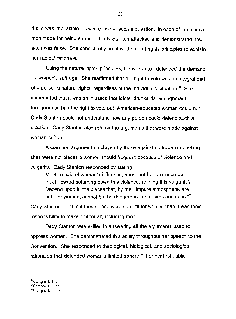**that it was impossible to even consider such a question. In each of the claims**  men made for being superior, Cady Stanton attacked and demonstrated how each was false. She consistently employed natural rights principles to explain **her radical rationale.** 

Using the natural rights principles, Cady Stanton defended the demand for women's suffrage. She reaffirmed that the right to vote was an integral part **of a person's natural rights, regardless of the individual's situation.<sup>5</sup> ] She commented that it was an injustice that idiots, drunkards, and ignorant**  foreigners all had the right to vote but American-educated woman could not. Cady Stanton could not understand how any person could defend such a practice. Cady Stanton also refuted the arguments that were made against **woman suffrage.** 

A common argument employed by those against suffrage was polling **sites were not places a women should frequent because of violence and**  vulgarity. Cady Stanton responded by stating:

**Much is said of woman's influence, might not her presence do much toward softening down this violence, refining this vulgarity?**  Depend upon it, the places that, by their impure atmosphere, are **unfit for women, cannot but be dangerous to her sires and sons."52** 

Cady Stanton felt that if these place were so unfit for women then it was their responsibility to make it fit for all, including men.

Cady Stanton was skilled in answering all the arguments used to oppress women. She demonstrated this ability throughout her speech to the Convention. She responded to theological, biological, and sociological rationales that defended woman's limited sphere. ${}^{53}$  For her first public

**<sup>51</sup>CampbeU, I: 61** 

**<sup>52</sup>CampbeU, 2: 55.** 

**<sup>5)</sup>Campbell, 1:** 59.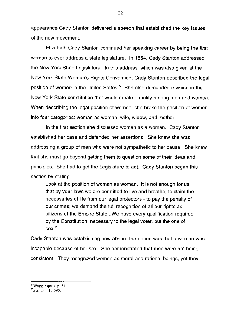appearance Cady Stanton delivered a speech that established the key issues **of the new movement.** 

Elizabeth Cady Stanton continued her speaking career by being the first woman to ever address a state legislature. In 1854, Cady Stanton addressed the New York State Legislature. In this address, which was also given at the New York State Woman's Rights Convention, Cady Stanton described the legal position of women in the United States.<sup>54</sup> She also demanded revision in the **New York State constitution that would create equality among men and women.**  When describing the legal position of women, she broke the position of women **into four categories: woman as woman, wife, widow, and mother.** 

**In the first section she discussed woman as a woman. Cady Stanton**  established her case and defended her assertions. She knew she was **addressing a group of men who were not sympathetic to her cause. She knew**  that she must go beyond getting them to question some of their ideas and principles. She had to get the Legislature to act. Cady Stanton began this section by stating:

**Look at the position of woman as woman. It is not enough for us**  that by your laws we are permitted to live and breathe, to claim the necessaries of life from our legal protectors - to pay the penalty of **our crimes; we demand the full recognition of all our rights as citizens of the Empire State ... We have every qualification required**  by the Constitution, necessary to the legal voter, but the one of  $sex.<sup>55</sup>$ 

**Cady Stanton was establishing how absurd the notion was that a woman was**  incapable because of her sex. She demonstrated that men were not being consistent. They recognized women as moral and rational beings, yet they

<sup>5~</sup>Waggenspack, p. 51.

 $<sup>55</sup>Stanton, 1: 595.$ </sup>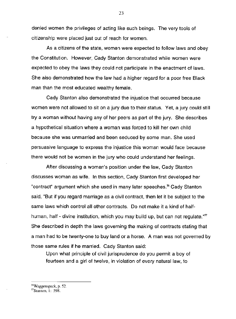denied women the privileges of acting like such beings. The very tools of **citizenship were placed just out of reach for women.** 

**As a citizens of the state, women were expected to follow laws and obey the Constitution. However, Cady Stanton demonstrated while women were**  expected to obey the laws they could not participate in the enactment of laws. She also demonstrated how the law had a higher regard for a poor free Black man than the most educated wealthy female.

**Cady Stanton also demonstrated the injustice that occurred because**  women were not allowed to sit on a jury due to their status. Yet, a jury could still try a woman without having any of her peers as part of the jury. She describes a hypothetical situation where a woman was forced to kill her own child **because she was unmarried and been seduced by some man. She used persuasive language to express the injustice this woman would face because**  there would not be women in the jury who could understand her feelings.

**After discussing a woman's position under the law, Cady Stanton discusses woman as wife. In this section, Cady Stanton first developed her "contract" argument which she used in many later speeches.<sup>56</sup>Cady Stanton said, "But if you regard marriage as a civil contract, then let it be subject to the**  same laws which control all other contracts. Do not make it a kind of halfhuman, half - divine institution, which you may build up, but can not regulate." $\mathbb{F}$ She described in depth the laws governing the making of contracts stating that a man had to be twenty-one to buy land or a horse. A man was not governed by **those same rules if he married. Cady Stanton said:** 

Upon what principle of civil jurisprudence do you permit a boy of **fourteen and a girl of twelve, in violation of every natural law, to** 

<sup>56</sup>Waggenspack, p. 52.

<sup>57</sup>Stanton, I: 598.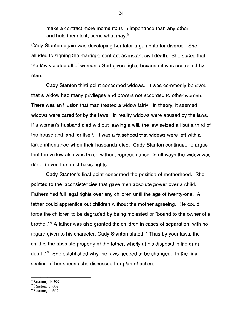**make a contract more momentous in importance than any other,**  and hold them to it, come what may.<sup>58</sup>

Cady Stanton again was developing her later arguments for divorce. She alluded to signing the marriage contract as instant civil death. She stated that the law violated all of woman's God-given rights because it was controlled by **man.** 

Cady Stanton third point concerned widows. It was commonly believed that a widow had many privileges and powers not accorded to other women. There was an illusion that man treated a widow fairly. In theory, it seemed widows were cared for by the laws. In reality widows were abused by the laws. If a woman's husband died without leaving a will, the law seized all but a third of the house and land for itself. It was a falsehood that widows were left with a large inheritance when their husbands died. Cady Stanton continued to argue **that the widow also was taxed without representation. In all ways the widow was denied even the most basic rights.** 

Cady Stanton's final point concemed the position of motherhood. She **pointed to the inconsistencies that gave men absolute power** *over* **a child.**  Fathers had full legal rights over any children until the age of twenty-one. A father could apprentice out children without the mother agreeing. He could force the children to be degraded by being molested or "bound to the owner of a **brothel."5') A father was also granted the children in cases of separation, with no**  regard given to his character. Cady Stanton stated, " Thus by your laws, the child is the absolute property of the father, wholly at his disposal in life or at death."<sup>60</sup> She established why the laws needed to be changed. In the final section of her speech she discussed her plan of action.

<sup>&</sup>lt;sup>58</sup>Stanton, 1: 599.

 $~^{59}$ Stanton, 1: 602.

 $^{60}$ Stanton, 1: 602.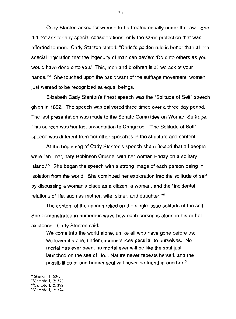Cady Stanton asked for women to be treated equally under the law. She **did not ask for any special considerations, only the same protection that was**  afforded to men. Cady Stanton stated: "Christ's golden rule is better than all the **special legislation that the ingenuity of man can devise: 'Do onto others as you**  would have done onto you.' This, men and brethren is all we ask at your hands.<sup>"61</sup> She touched upon the basic want of the suffrage movement: women just wanted to be recognized as equal beings.

Elizabeth Cady Stanton's finest speech was the "Solitude of Self" speech given in 1892. The speech was delivered three times over a three day period. The last presentation was made to the Senate Committee on Woman Suffrage. This speech was her last presentation to Congress. "The Solitude of Self" speech was different from her other speeches in the structure and content.

At the beginning of Cady Stanton's speech she reflected that all people **were "an imaginary Robinson Crusoe, with her woman Friday on a solitary island."62 She began the speech with a strong image of each person being in**  isolation from the world. She continued her exploration into the solitude of self **by discussing a woman's place as a citizen, a woman, and the "incidental**  relations of life, such as mother, wife, sister, and daughter.<sup>"63</sup>

The content of the speech relied on the single issue solitude of the self. **She demonstrated in numerous ways how each person is alone in his or her existence. Cady Stanton said:** 

We come into the world alone, unlike all who have gone before us; **we leave it alone, under circumstances peculiar to ourselves. No mortal has ever been, no mortal ever will be like the soul just**  launched on the sea of life... Nature never repeats herself, and the **possibilities of one human soul will never be found in another.61.** 

 $<sup>61</sup>Stanton, 1: 604.$ </sup>

<sup>62</sup>Campbcll. 2: 372.

<sup>63</sup>Campbell. 2: 372.

 $^{64}$ Campbell, 2: 374.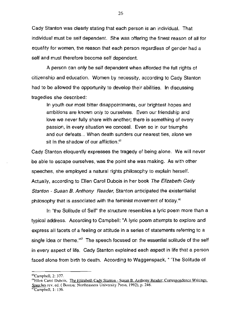Cady Stanton was clearly stating that each person is an individual. That individual must be self dependent. She was offering the finest reason of all for equality for women, the reason that each person regardless of gender had a self and must therefore become self dependent.

A person can only be self dependent when afforded the full rights of citizenship and education. Women by necessity, according to Cady Stanton had to be allowed the opportunity to develop their abilities. In discussing tragedies she described:

In youth our most bitter disappointments, our brightest hopes and **ambitions are known only to ourselves. Even our friendship and love we never fully share with another; there is something of every passion, in every situation we conceal. Even so in our triumphs and our defeats ... When death sunders our nearest ties, alone we sit in the shadow of our affliction.<sup>65</sup>**

Cady Stanton eloquently expresses the tragedy of being alone. We will never **be able to escape ourselves, was the point she was making. As with other**  speeches, she employed a natural rights philosophy to explain herself. Actually, according to Ellen Carol Dubois in her book The Elizabeth Cady Stanton - Susan B. Anthony Reader, Stanton anticipated the existentialist **philosophy that is associated with the feminist movement of today.66** 

In "the Solitude of Self" the structure resembles a lyric poem more than a typical address. According to Campbell: "A lyric poem attempts to explore and express all facets of a feeling or attitude in a series of statements referring to a single idea or theme." $\sigma$  The speech focused on the essential solitude of the self in every aspect of life. Cady Stanton explained each aspect in life that a person faced alone from birth to death. According to Waggenspack, " The Solitude of

 $^{65}$ Campbell, 2: 377.

<sup>&</sup>lt;sup>66</sup> Ellen Carol Dubois, The Elizabeth Cady Stanton - Susan B. Anthony Reader: Correspondence Writings. Speeches rev. ed. (Boston: Northeastern University Press, 1992), p. 246.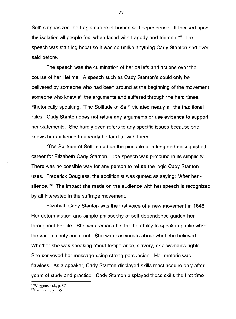Self' emphasized the tragic nature of human self dependence. It focused upon the isolation all people feel when faced with tragedy and triumph."<sup>68</sup> The speech was startling because it was so unlike anything Cady Stanton had ever **said before.** 

**The speech was the culmination of her beliefs and actions over the**  course of her lifetime. A speech such as Cady Stanton's could only be delivered by someone who had been around at the beginning of the movement, someone who knew all the arguments and suffered through the hard times. Rhetorically speaking, "The Solitude of Self" violated nearly all the traditional rules. Cady Stanton does not refute any arguments or use evidence to support her statements. She hardly even refers to any specific issues because she **knows her audience to already be familiar with them.** 

"The Solitude of Self" stood as the pinnacle of a long and distinguished career for Elizabeth Cady Stanton. The speech was profound in its simplicity. There was no possible way for any person to refute the logic Cady Stanton **uses. Frederick Douglass, the abolitionist was quoted as saying: "After her**silence.<sup>"<sup>69</sup> The impact she made on the audience with her speech is recognized</sup> by all interested in the suffrage movement.

Elizabeth Cady Stanton was the first voice of a new movement in 1848. Her determination and simple philosophy of self dependence guided her throughout her life. She was remarkable for the ability to speak in public when **the vast majority could not. She was passionate about what she believed. Whether she was speaking about temperance, slavery, or a woman's rights. She conveyed her message using strong persuasion. Her rhetoric was**  flawless. As a speaker, Cady Stanton displayed skills most acquire only after years of study and practice. Cady Stanton displayed those skills the first time

<sup>68</sup>Waggenspack, p. 87.

<sup>6~</sup>Campbel!, **p. 135.**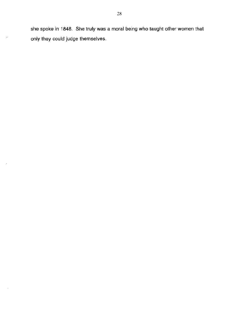she spoke in 1848. She truly was a moral being who taught other women that only they could judge themselves.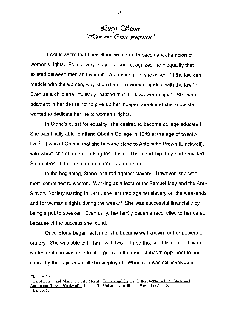# $\mathcal{L}$ ucp **\Btone** *'c:Ye.", "u, C?dUS6 P'''5'6SS6S. '*

It would seem that Lucy Stone was born to become a champion of women's rights. From a very early age she recognized the inequality that existed between men and women. As a young girl she asked, "If the law can meddle with the woman, why should not the woman meddle with the law. $"$ <sup>70</sup> **Even as a child she intuitively realized that the laws were unjust. She was adamant in her desire not to give up her independence and she knew she**  wanted to dedicate her life to woman's rights.

In Stone's quest for equality, she desired to become college educated. She was finally able to attend Oberlin College in 1843 at the age of twentyfive. $1$  It was at Oberlin that she became close to Antoinette Brown (Blackwell), with whom she shared a lifelong friendship. The friendship they had provided **Stone strength to embark on a career as an orator.** 

In the beginning, Stone lectured against slavery. However, she was **more committed to women. Working as a lecturer for Samuel May and the Anti·**  Slavery Society starting in 1848, she lectured against slavery on the weekends and for woman's rights during the week.<sup> $\pi$ </sup> She was successful financially by being a public speaker. Eventually, her family became reconciled to her career because of the success she found.

Once Stone began lecturing, she became well known for her powers of oratory. She was able to fill halls with two to three thousand listeners. It was written that she was able to change even the most stubborn opponent to her cause by the logic and skill she employed. When she was still involved in

 $^{70}$ Kerr, p. 19.

<sup>&</sup>lt;sup>71</sup>Carol Lasser and Marlene Deahl Merrill, Friends and Sisters: Letters between Lucy Stone and Antoinette Brown Blackwell (Urbana, IL: University of Illinois Press, 1987) p. 6.

 $^{72}$ Kerr, p. 52.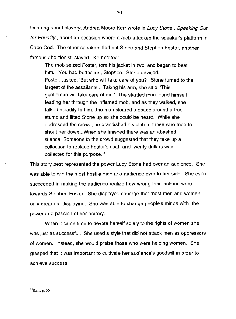lecturing about slavery, Andrea Moore Kerr wrote in Lucy Stone: Speaking Out **for Equality, about an occasion where a mob attacked the speaker's platform in**  Cape Cod. The other speakers fled but Stone and Stephen Foster, another famous abolitionist, stayed. Kerr stated:

The mob seized Foster, tore his jacket in two, and began to beat him. 'You had better run, Stephen,' Stone advised. Foster... asked, 'But who will take care of you?' Stone turned to the largest of the assailants... Taking his arm, she said, 'This gentleman will take care of me.' The startled man found himself leading her through the inflamed mob, and as they walked, she talked steadily to him...the man cleared a space around a tree stump and lifted Stone up so she could be heard. While she addressed the crowd, he brandished his club at those who tried to shout her down ... When she finished there was an abashed silence. Someone in the crowd suggested that they take up a collection to replace Foster's coat, and twenty dollars was collected for this purpose. $^{73}$ 

This story best represented the power Lucy Stone had over an audience. She **was able to win the most hostile man and audience over to her side. She even succeeded in making the audience realize how wrong their actions were**  towards Stephen Foster. She displayed courage that most men and women only dream of displaying. She was able to change people's minds with the power and passion of her oratory.

When it came time to devote herself solely to the rights of women she was just as successful. She used a style that did not attack men as oppressors of women. Instead, she would praise those who were helping women. She grasped that it was important to cultivate her audience's goodwill in order to **achieve success.** 

30

7JKerr, **p. 55**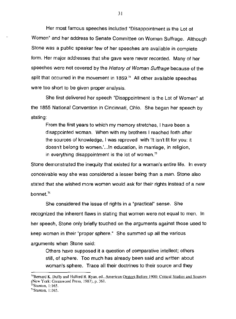Her most famous speeches included "Disappointment is the Lot of Women" and her address to Senate Committee on Women Suffrage. Although Stone was a public speaker few of her speeches are available in complete **form. Her major addresses that she gave were never recorded. Many of her**  speeches were not covered by the History of Woman Suffrage because of the split that occurred in the movement in 1869.<sup>74</sup> All other available speeches **were too short to be given proper analysis.** 

She first delivered her speech "Disappointment is the Lot of Women" at the 1855 National Convention in Cincinnati, Ohio. She began her speech by stating:

From the first years to which my memory stretches, I have been a disappointed woman. When with my brothers I reached forth after the sources of knowledge, I was reproved with 'It isn't fit for you: it **doesn't belong to women.' ... ln education, in marriage, in religion, in everything disappointment is the lot of** women. <sup>75</sup>

**Stone demonstrated the inequity that existed for a woman's entire life. In every conceivable way she was considered a lesser being than a man. Stone also**  stated that she wished more women would ask for their rights instead of a new bonnet. <sup>76</sup>

She considered the issue of rights in a "practical" sense. She **recognized the inherent flaws in stating that women were not equal to men. In**  her speech, Stone only briefly touched on the arguments against those used to keep women in their "proper sphere." She summed up all the various **arguments when Stone said:** 

**Others have supposed it a question of comparative intellect; others**  still, of sphere. Too much has already been said and written about **woman's sphere. Trace all their doctrines to their source and they** 

<sup>&</sup>lt;sup>74</sup>Bernard K. Duffy and Halford R. Ryan, ed., American Orators Before 1900: Critical Studies and Sources (New York: Greenwood Press, 1987), p. 361.

 $75$ Stanton, 1:165.

<sup>76</sup>Stanton, I: 165.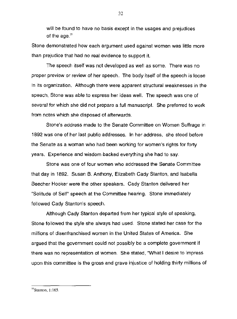**will be found to have no basis except in the usages and prejudices**  of the age.  $\pi$ 

**Stone demonstrated how each argument used against women was little more**  than prejudice that had no real evidence to support it.

The speech itself was not developed as well as some. There was no proper preview or review of her speech. The body itself of the speech is loose **in its organization. Although there were apparent structural weaknesses in the speech, Stone was able to express her ideas well. The speech was one of**  several for which she did not prepare a full manuscript. She preferred to work from notes which she disposed of afterwards.

Stone's address made to the Senate Committee on Women Suffrage in 1892 was one of her last public addresses. In her address, she stood before **the Senate as a woman who had been working for women's rights for forty**  years. Experience and wisdom backed everything she had to say.

**Stone was one of four women who addressed the Senate Committee**  that day in 1892. Susan B. Anthony, Elizabeth Cady Stanton, and Isabella Beecher Hooker were the other speakers. Cady Stanton delivered her "Solitude of Self" speech at the Committee hearing. Stone immediately followed Cady Stanton's speech.

Although Cady Stanton departed from her typical style of speaking, Stone followed the style she always had used. Stone stated her case for the millions of disenfranchised women in the United States of America. She argued that the government could not possibly be a complete government if **there was no representation of women. She stated, "What I desire to impress**  upon this committee is the gross and grave injustice of holding thirty millions of

**<sup>77</sup>Stanton,I:165.**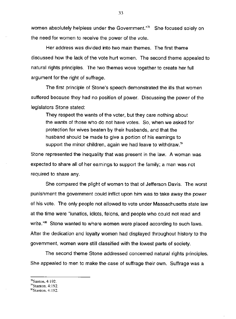women absolutely helpless under the Government."<sup>78</sup> She focused solely on **the need for women to receive the power of the vote.** 

**Her address was divided into two main themes. The first theme**  discussed how the lack of the vote hurt women. The second theme appealed to natural rights principles. The two themes wove together to create her full argument for the right of suffrage.

The first principle of Stone's speech demonstrated the ills that women suffered because they had no position of power. Discussing the power of the legislators Stone stated:

They respect the wants of the voter, but they care nothing about the wants of those who do not have votes. So, when we asked for protection for wives beaten by their husbands, and that the husband should be made to give a portion of his earnings to **support the minor children, again we had leave to withdraw. <sup>79</sup>**

Stone represented the inequality that was present in the law. A woman was expected to share all of her eamings to support the family; a man was not required to share any.

She compared the plight of women to that of Jefferson Davis. The worst punishment the government could inflict upon him was to take away the power of his vote. The only people not allowed to vote under Massachusetts state law at the time were "lunatics, idiots, felons, and people who could not read and write."<sup>80</sup> Stone wanted to where women were placed according to such laws. After the dedication and loyalty women had displayed throughout history to the government, women were still classified with the lowest parts of society.

**The second theme Stone addressed concerned natural rights principles.**  She appealed to men to make the case of suffrage their own. Suffrage was a

<sup>78</sup>Santon, **4:** 192.

<sup>79</sup>Stanton, **4: 192.** 

XlIStanton, 4: **192.**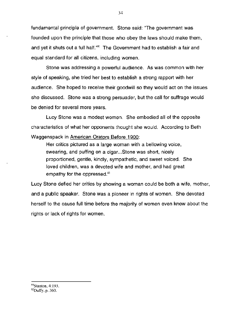**fundamental principle of government. Stone said: "The government was**  founded upon the principle that those who obey the laws should make them, and yet it shuts out a full half."<sup>81</sup> The Government had to establish a fair and **equal standard for all citizens, including women.** 

**Stone was addressing a powerful audience. As was common with her**  style of speaking, she tried her best to establish a strong rapport with her **audience. She hoped to receive their goodwill so they would act on the issues**  she discussed. Stone was a strong persuader, but the call for suffrage would **be denied for several more years.** 

Lucy Stone was a modest women. She embodied all of the opposite characteristics of what her opponents thought she would. According to Beth Waggenspack in American Orators Before 1900:

**Her critics pictured as a large woman with a bellowing voice,**  swearing, and puffing on a cigar...Stone was short, nicely proportioned, gentle, kindly, sympathetic, and sweet voiced. She loved children, was a devoted wife and mother, and had great empathy for the oppressed. $^{82}$ 

Lucy Stone defied her critics by showing a woman could be both a wife, mother, and a public speaker. Stone was a pioneer in rights of women. She devoted herself to the cause **full** time before the majority of women even knew about the rights or lack of rights for women.

**RIStanton, 4: 193.** 

**<sup>8&</sup>quot;Duffy, p. 360.**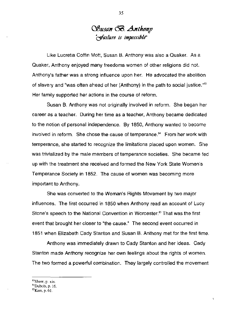### Obusan **B.** Anthony *Cfirilure is im/MSSlbl."*

Like Lucretia Coffin Mott, Susan B. Anthony was also a Quaker. As a Quaker, Anthony enjoyed many freedoms women of other religions did not. Anthony's father was a strong influence upon her. He advocated the abolition of slavery and "was often ahead of her (Anthony) in the path to social justice."" **Her family supported her actions in the course of reform.** 

Susan B. Anthony was not originally involved in reform. She began her **career as a teacher. During her time as a teacher, Anthony became dedicated**  to the notion of personal independence. By 1850, Anthony wanted to become involved in reform. She chose the cause of temperance.<sup>84</sup> From her work with **temperance, she started to recognize the limitations placed upon women. She was trivialized by the male members of temperance societies. She became fed**  up with the treatment she received and formed the New York State Women's **Temperance Society in 1852. The cause of women was becoming more**  important to Anthony.

**She was converted to the Woman's Rights Movement by two major**  influences. The first occurred in 1850 when Anthony read an account of Lucy Stone's speech to the National Convention in Worcester.<sup>85</sup> That was the first event that brought her closer to "the cause." The second event occurred in 1851 when Elizabeth Cady Stanton and Susan B. Anthony met for the first time.

Anthony was immediately drawn to Cady Stanton and her ideas. Cady Stanton made Anthony recognize her own feelings about the rights of women. The two formed a powerful combination. They largely controlled the movement

A,

83Sherr, p. xix.

 $$^{84}$ Dubois, p. 16.

<sup>85</sup>Kerr, p. 61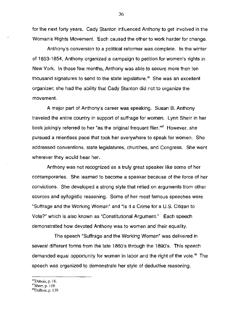for the next forty years. Cady Stanton influenced Anthony to get involved in the Woman's Rights Movement. Each caused the other to work harder for change.

**Anthony's conversion to a political reformer was complete. In the winter**  of 1853-1854, Anthony organized a campaign to petition for women's rights in New York. In those few months, Anthony was able to secure more then ten **thousand signatures to send to the state legislature. <sup>86</sup>She was an excellent**  organizer; she had the ability that Cady Stanton did not to organize the **movement.** 

A major part of Anthony's career was speaking. Susan B. Anthony traveled the entire country in support of suffrage for women. Lynn Sherr in her book jokingly referred to her "as the original frequent flier." $\frac{1}{2}$  However, she pursued a relentless pace that took her everywhere to speak for women. She **addressed conventions, state legislatures, churches, and Congress. She went**  wherever they would hear her.

**Anthony was not recognized as a truly great speaker like some of her contemporaries. She learned to become a speaker because of the force of her**  convictions. She developed a strong style that relied on arguments from other **sources and syllogistic reasoning. Some of her most famous speeches were**  "Suffrage and the Working Woman" and "Is it a Crime for a U.S. Citizen to **Vote?" which is also known as "Constitutional Argument." Each speech**  demonstrated how devoted Anthony was to women and their equality.

The speech "Suffrage and the Working Woman" was delivered in several different forms from the late 1860's through the 1890's. This speech demanded equal opportunity for women in labor and the right of the vote. $<sup>8</sup>$  The</sup> **speech was organized to demonstrate her style of deductive reasoning.** 

<sup>~~</sup>Dubois, **p. 18.** 

 ${}^{87}$ Sherr, p. 119.

**xXDuBois, p. 139.**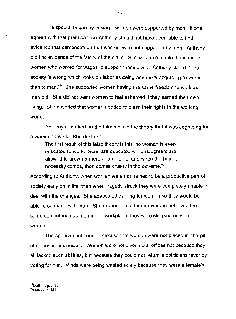The speech began by asking if women were supported by men. If one agreed with that premise then Anthony should not have been able to find evidence that demonstrated that women were not supported by men. Anthony did find evidence of the falsity of the claim. She was able to cite thousands of women who worked for wages to support themselves. Anthony stated: "The **society is wrong which looks on labor as being any more degrading to woman than to man."<sup>89</sup>She supported women having the same freedom to work as**  men did. She did not want women to feel ashamed if they earned their own living. She asserted that women needed to claim their rights in the working world.

Anthony remarked on the falseness of the theory that it was degrading for **a woman to work. She declared:** 

The first result of this false theory is this: no woman is even **educated to work. Sons are educated while daughters are allowed to grow up mere adornments, and when the hour of**  necessity comes, then comes cruelty in the extreme.<sup>90</sup>

According to Anthony, when women were not trained to be a productive part of society early on in life, then when tragedy struck they were completely unable to deal with the changes. She advocated training for women so they would be able to compete with men. She argued that although women achieved the same competence as men in the workplace, they were still paid only half the **wages.** 

**The speech continued to discuss that women were not placed in charge of offices in businesses. Women were not given such offices not because they**  all lacked such abilities, but because they could not return a politicians favor by voting for him. Minds were being wasted solely because they were a female's.

<sup>~9</sup>DuBois, **p. 141.** 

**<sup>&#</sup>x27;lIIDubois, p. 141.**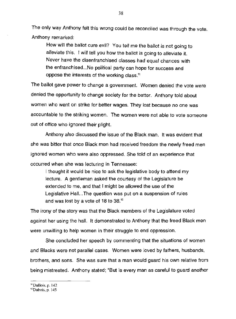The only way Anthony felt this wrong could be reconciled was through the vote. Anthony remarked:

How will the ballot cure evil? You tell me the ballot is not going to alleviate this. I will tell you how the ballot is going to alleviate it. Never have the disenfranchised classes had equal chances with the enfranchised...No political party can hope for success and **oppose the interests of the working class. <sup>91</sup>**

The ballot gave power to change a government. Women denied the vote were denied the opportunity to change society for the better. Anthony told about **women who went on strike for better wages. They lost because no one was accountable to the striking women. The women were not able to vote someone**  out of office who ignored their plight.

Anthony also discussed the issue of the Black man. It was evident that she was bitter that once Black men had received freedom the newly freed men ignored women who were also oppressed. She told of an experience that **occurred when she was lecturing in Tennessee:** 

I thought it would be nice to ask the legislative body to attend my lecture. A gentleman asked the courtesy of the Legislature be extended to me, and that I might be allowed the use of the **Legislative Hall. .. The question was put on a suspension of rules**  and was lost by a vote of 18 to 38. $\degree$ 

The irony of the story was that the Black members of the Legislature voted against her using the hall. It demonstrated to Anthony that the freed Black men **were unwilling to help women in their struggle to end oppression.** 

She concluded her speech by commenting that the situations of women and Blacks were not parallel cases. Women were loved by fathers, husbands, **brothers, and sons. She was sure that a man would guard his own relative from**  being mistreated. Anthony stated; "But is every man as careful to guard another

<sup>~&#</sup>x27;DuBois, p. 142

<sup>&</sup>lt;sup>92</sup>Dubois, p. 145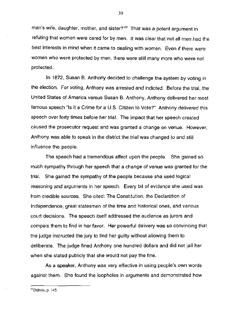man's wife, daughter, mother, and sister?"<sup>93</sup> That was a potent argument in refuting that women were cared for by men. It was clear that not all men had the **best interests in mind when it came to dealing with women. Even if there were women who were protected by men, there were still many more who were not**  protected.

In 1872, Susan B. Anthony decided to challenge the system by voting in the election. For voting, Anthony was arrested and indicted. Before the trial, the United States of America versus Susan B. Anthony, Anthony delivered her most famous speech "Is it a Crime for a U.S. Citizen to Vote?" Anthony delivered this speech over forty times before her trial. The impact that her speech created **caused the prosecutor request and was granted a change on venue. However,**  Anthony was able to speak in the district the trial was changed to and still influence the people.

The speech had a tremendous affect upon the people. She gained so much sympathy through her speech that a change of venue was granted for the trial. She gained the sympathy of the people because she used logical **reasoning and arguments in her speech. Every bit of evidence she used was**  from credible sources. She cited: The Constitution, the Declaration of **Independence, great statesmen of the time and historical ones, and various court decisions. The speech itself addressed the audience as jurors and**  compels them to find in her favor. Her powerlul delivery was so convincing that the judge instructed the jury to find her guilty without allowing them to deliberate. The judge fined Anthony one hundred dollars and did not jail her when she stated publicly that she would not pay the fine.

**As a speaker, Anthony was very effective in using people's own words**  against them. She found the loopholes in arguments and demonstrated how

39

93Dubois, **p.** 145.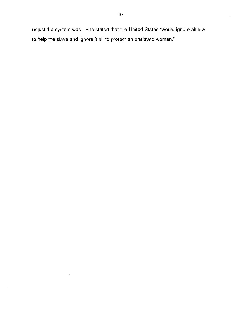unjust the system was. She stated that the United States "would ignore all law to help the slave and ignore it all to protect an enslaved woman."

 $\bar{z}$ 

 $\sim$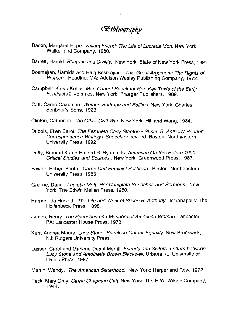# Sibliography

- Bacon, Margaret Hope. Valiant Friend: The Life of Lucretia Mott. New York: Walker and Company, 1980.
- Barrett, Harold. Rhetoric and Civifity. New York: State of New York Press, 1991.
- Bosmajian, Hamida and Haig Bosmajian. This Great Argument: The Rights of Women. Reading, MA: Addison Wesley Publishing Company, 1972.
- Campbell, Karyn Kohrs. Man Cannot Speak for Her: Key Texts of the Early Feminists 2 Volumes. New York: Praeger Publishers, 1989.
- Catt, Carrie Chapman. Woman Suffrage and Politics. New York: Charles Scribner's Sons, 1923.
- Clinton, Catherine. The Other Civil War. New York: Hill and Wang, 1984.
- Dubois, Ellen Carol. The Elizabeth Cady Stanton Susan B. Anthony Reader: Correspondence Writings, Speeches rev. ed. Boston: Northeastern University Press, 1992.
- Duffy, Bernard K and Halford R. Ryan, eds. American Orators Before 1900: Critical Studies and Sources. New York: Greenwood Press, 1987.
- Fowler, Robert Booth. Carrie Catt Feminist Politician. Boston: Northeastern University Press, 1986.
- Greene, Dana. Lucretia Matt: Her Complete Speeches and Sermons. New York: The Edwin Mellen Press, 1980.
- Harper, Ida Husted. The Life and Work of Susan B. Anthony. Indianapolis: The Hollenbeck Press, 1898.
- **James, Henry. The Speeches and Manners of American Women. Lancaster,**  PA: Lancaster House Press, 1973.
- Kerr, Andrea Moore. Lucy Stone: Speaking Out for Equality. New Brunswick, NJ: Rutgers University Press.
- Lasser, Carol and Marlene Deahl Merrill. Friends and Sisters: Letters between Lucy Stone and Antoinette Brown Blackwell. Urbana, **IL:** University of Illinois Press, 1987.
- Martin, Wendy. The American Sisterhood. New York: Harper and Row, 1972.
- Peck, Mary Gray. Carrie Chapman Catt. New York: The H.W. Wilson Company, 1944.